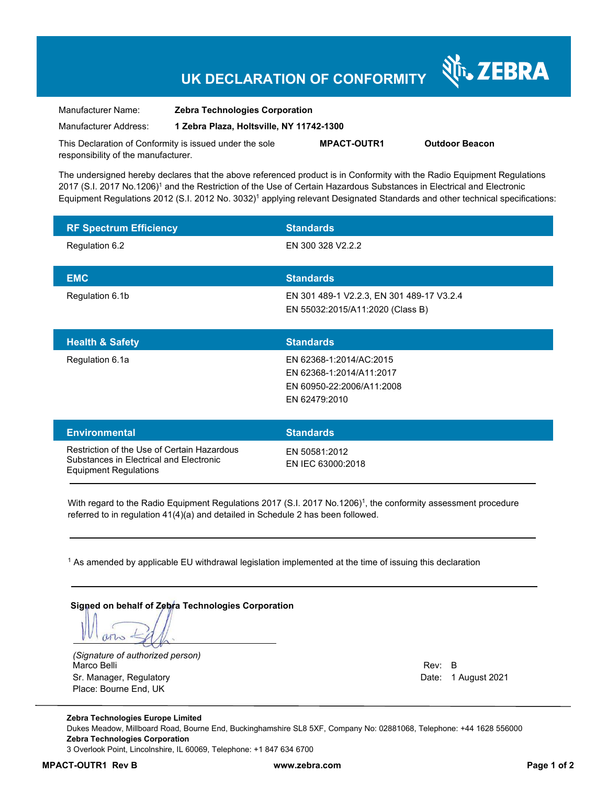# **UK DECLARATION OF CONFORMITY**

Manufacturer Name: **Zebra Technologies Corporation**  Manufacturer Address: **1 Zebra Plaza, Holtsville, NY 11742-1300** 

This Declaration of Conformity is issued under the sole responsibility of the manufacturer. **MPACT-OUTR1 Outdoor Beacon** 

The undersigned hereby declares that the above referenced product is in Conformity with the Radio Equipment Regulations 2017 (S.I. 2017 No.1206)<sup>1</sup> and the Restriction of the Use of Certain Hazardous Substances in Electrical and Electronic Equipment Regulations 2012 (S.I. 2012 No. 3032)<sup>1</sup> applying relevant Designated Standards and other technical specifications:

| <b>RF Spectrum Efficiency</b>                                                                                          | <b>Standards</b>                                                                                  |
|------------------------------------------------------------------------------------------------------------------------|---------------------------------------------------------------------------------------------------|
| Regulation 6.2                                                                                                         | EN 300 328 V2.2.2                                                                                 |
| <b>EMC</b>                                                                                                             | <b>Standards</b>                                                                                  |
| Regulation 6.1b                                                                                                        | EN 301 489-1 V2.2.3, EN 301 489-17 V3.2.4<br>EN 55032:2015/A11:2020 (Class B)                     |
| <b>Health &amp; Safety</b>                                                                                             | <b>Standards</b>                                                                                  |
| Regulation 6.1a                                                                                                        | EN 62368-1:2014/AC:2015<br>EN 62368-1:2014/A11:2017<br>EN 60950-22:2006/A11:2008<br>EN 62479:2010 |
| <b>Environmental</b>                                                                                                   | <b>Standards</b>                                                                                  |
| Restriction of the Use of Certain Hazardous<br>Substances in Electrical and Electronic<br><b>Equipment Regulations</b> | EN 50581:2012<br>EN IEC 63000:2018                                                                |

With regard to the Radio Equipment Regulations 2017 (S.I. 2017 No.1206)<sup>1</sup>, the conformity assessment procedure referred to in regulation 41(4)(a) and detailed in Schedule 2 has been followed.

1 As amended by applicable EU withdrawal legislation implemented at the time of issuing this declaration

#### **Signed on behalf of Zebra Technologies Corporation**

arro

*(Signature of authorized person)* Marco Belli Rev: B and Rev: B and Rev: B and Rev: B and Rev: B and Rev: B and Rev: B and Rev: B and Rev: B and Rev: B Sr. Manager, Regulatory **Date: 1 August 2021** Controller and Date: 1 August 2021 Place: Bourne End, UK

र्शे<sub>ं</sub> ZEBRA

**Zebra Technologies Europe Limited**  Dukes Meadow, Millboard Road, Bourne End, Buckinghamshire SL8 5XF, Company No: 02881068, Telephone: +44 1628 556000 **Zebra Technologies Corporation**  3 Overlook Point, Lincolnshire, IL 60069, Telephone: +1 847 634 6700